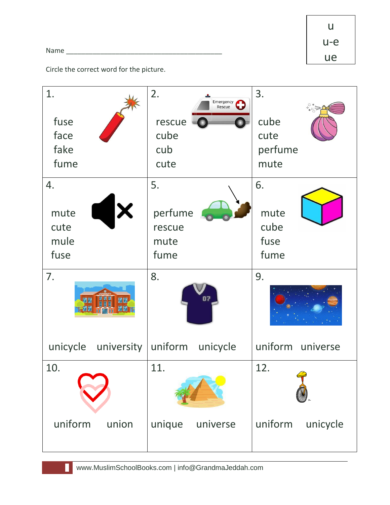Name was also as a set of  $\sim$ 

u u-e ue

Circle the correct word for the picture.

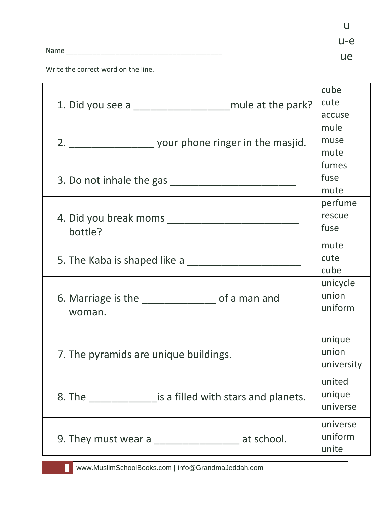Name \_\_\_\_\_\_\_\_\_\_\_\_\_\_\_\_\_\_\_\_\_\_\_\_\_\_\_\_\_\_\_\_\_\_\_\_\_\_\_\_\_

u u-e ue

Write the correct word on the line.

|                                                                           | cube       |
|---------------------------------------------------------------------------|------------|
| 1. Did you see a ______________________________mule at the park?          | cute       |
|                                                                           | accuse     |
|                                                                           | mule       |
|                                                                           | muse       |
|                                                                           | mute       |
|                                                                           | fumes      |
|                                                                           | fuse       |
|                                                                           | mute       |
|                                                                           | perfume    |
|                                                                           | rescue     |
| bottle?                                                                   | fuse       |
|                                                                           | mute       |
|                                                                           | cute       |
|                                                                           | cube       |
|                                                                           | unicycle   |
|                                                                           | union      |
| 6. Marriage is the _________________ of a man and                         | uniform    |
| woman.                                                                    |            |
|                                                                           |            |
|                                                                           | unique     |
| 7. The pyramids are unique buildings.                                     | union      |
|                                                                           | university |
|                                                                           | united     |
| 8. The <b>Sandally Exercise Setup</b> is a filled with stars and planets. | unique     |
|                                                                           | universe   |
|                                                                           |            |
|                                                                           | universe   |
| 9. They must wear a ______________________ at school.                     | uniform    |
|                                                                           | unite      |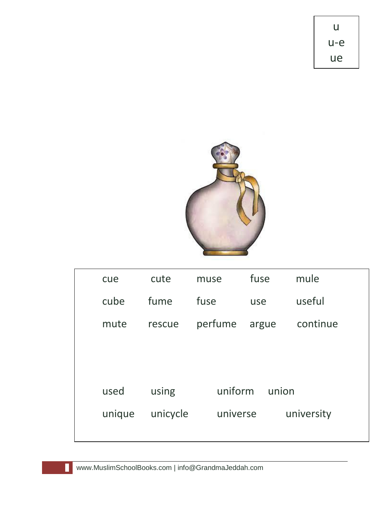

| cue    | cute     | muse     | fuse  | mule       |
|--------|----------|----------|-------|------------|
| cube   | fume     | fuse     | use   | useful     |
| mute   | rescue   | perfume  | argue | continue   |
|        |          |          |       |            |
|        |          |          |       |            |
| used   | using    | uniform  | union |            |
| unique | unicycle | universe |       | university |
|        |          |          |       |            |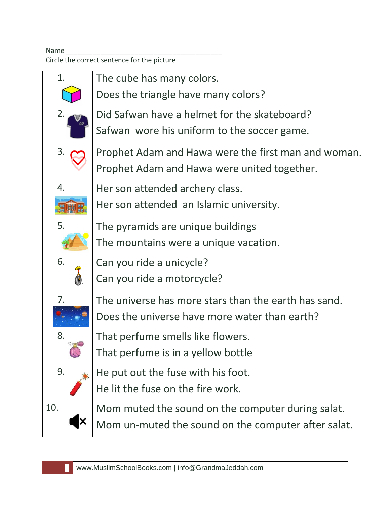Name \_\_\_\_\_\_\_\_\_\_\_\_\_\_\_\_\_\_\_\_\_\_\_\_\_\_\_\_\_\_\_\_\_\_\_\_\_\_\_\_\_

Circle the correct sentence for the picture

| 1.                        | The cube has many colors.                            |
|---------------------------|------------------------------------------------------|
|                           | Does the triangle have many colors?                  |
| 2.                        | Did Safwan have a helmet for the skateboard?         |
|                           | Safwan wore his uniform to the soccer game.          |
| 3.                        | Prophet Adam and Hawa were the first man and woman.  |
|                           | Prophet Adam and Hawa were united together.          |
| 4.                        | Her son attended archery class.                      |
|                           | Her son attended an Islamic university.              |
| 5.                        | The pyramids are unique buildings                    |
|                           | The mountains were a unique vacation.                |
| 6.                        | Can you ride a unicycle?                             |
|                           | Can you ride a motorcycle?                           |
| 7.                        | The universe has more stars than the earth has sand. |
|                           | Does the universe have more water than earth?        |
| 8.                        | That perfume smells like flowers.                    |
|                           | That perfume is in a yellow bottle                   |
| 9.                        | He put out the fuse with his foot.                   |
|                           | He lit the fuse on the fire work.                    |
| 10.                       | Mom muted the sound on the computer during salat.    |
| $\boldsymbol{\mathsf{x}}$ | Mom un-muted the sound on the computer after salat.  |